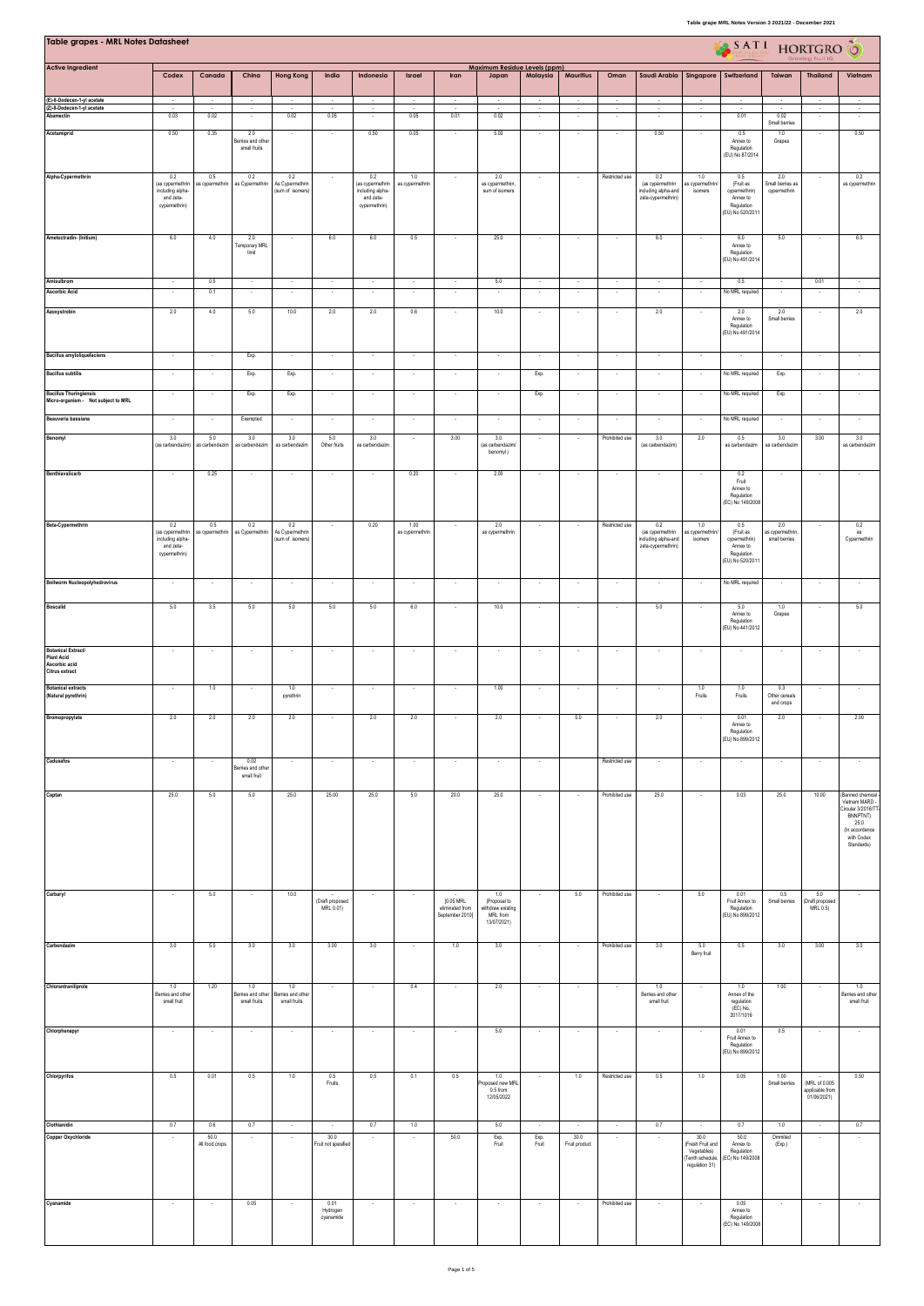| Table grapes - MRL Notes Datasheet             |                                                |                          |                                   |                                   |                                  |                                                 |                          |                                    |                                       |                          |                          |                          |                                           |                                | SATI HORTGRO                              |                            |                                |                                      |
|------------------------------------------------|------------------------------------------------|--------------------------|-----------------------------------|-----------------------------------|----------------------------------|-------------------------------------------------|--------------------------|------------------------------------|---------------------------------------|--------------------------|--------------------------|--------------------------|-------------------------------------------|--------------------------------|-------------------------------------------|----------------------------|--------------------------------|--------------------------------------|
| <b>Active Ingredient</b>                       | Codex                                          | Canada                   | China                             | <b>Hong Kong</b>                  | India                            | Indonesia                                       | Israel                   | Iran                               | Maximum Residue Levels (ppm)<br>Japan | Malaysia                 | Mauritius                | Oman                     | Saudi Arabia                              | Singapore                      | Switzerland                               | Taiwan                     | <b>Thailand</b>                | Vietnam                              |
| (E)-8-Dodecen-1-yl acetate                     | $\cdot$                                        | $\sim$                   | $\sim$                            |                                   |                                  |                                                 | $\cdot$                  | $\cdot$                            | $\sim$                                | $\sim$                   | $\overline{\phantom{a}}$ |                          | $\cdot$                                   |                                | $\cdot$                                   |                            | $\cdot$                        |                                      |
| (Z)-8-Dodecen-1-yl acetate<br>Abamectin        | $\sim$<br>0.03                                 | $\sim$<br>0.02           | $\sim$                            | $\overline{\phantom{a}}$<br>0.02  | $\overline{\phantom{a}}$<br>0.05 | $\sim$                                          | $\sim$<br>0.05           | $\sim$<br>0.01                     | $\sim$<br>0.02                        | $\sim$<br>×              | $\sim$                   | $\sim$                   | $\sim$                                    | $\sim$                         | 0.01                                      | 0.02                       | $\sim$                         | $\sim$                               |
| Acetamiprid                                    | 0.50                                           | 0.35                     | 2.0                               | $\cdot$                           | $\sim$                           | 0.50                                            | 0.05                     | $\overline{\phantom{a}}$           | 5.00                                  | $\cdot$                  | $\overline{\phantom{a}}$ | $\sim$                   | 0.50                                      |                                | 0.5                                       | Small berries<br>1.0       | $\overline{\phantom{a}}$       | 0.50                                 |
|                                                |                                                |                          | Bernes and other<br>small fruits  |                                   |                                  |                                                 |                          |                                    |                                       |                          |                          |                          |                                           |                                | Annex to<br>Regulation<br>(EU) No 87/2014 | Grapes                     |                                |                                      |
|                                                |                                                |                          |                                   |                                   |                                  |                                                 |                          |                                    |                                       |                          |                          |                          |                                           |                                |                                           |                            |                                |                                      |
| Alpha-Cypermethrin                             | $0.2\,$<br>(as cypermethrin                    | 0.5<br>as cypermethrin   | $0.2\,$<br>as Cypermethrin        | 0.2<br>As Cypermethrin            |                                  | $0.2\,$<br>(as cypermethrin<br>including alpha- | 1.0<br>as cypermethrin   |                                    | 2.0<br>as cypermethrin,               |                          |                          | Restricted use           | 0.2<br>(as cypermethrin                   | $1.0\,$<br>as cypermethrin     | 0.5<br>(Fruit as                          | 2.0<br>Small berries as    |                                | 0.2<br>as cypermethrin               |
|                                                | including alpha-<br>and zeta-<br>cypermethrin) |                          |                                   | (sum of isomers)                  |                                  | and zeta-<br>cypermethrin)                      |                          |                                    | sum of isomers                        |                          |                          |                          | including alpha-and<br>zeta-cypermethrin) | isomers                        | cypermethrin)<br>Annex to<br>Regulation   | cypermethrin               |                                |                                      |
|                                                |                                                |                          |                                   |                                   |                                  |                                                 |                          |                                    |                                       |                          |                          |                          |                                           |                                | (EU) No 520/2011                          |                            |                                |                                      |
| Ametoctradin- (Initium)                        | 6.0                                            | 4.0                      | 2.0                               | $\sim$                            | $6.0\,$                          | 6.0                                             | 0.5                      | $\cdot$                            | 25.0                                  | $\cdot$                  | $\cdot$                  | $\cdot$                  | 6.0                                       | $\cdot$                        | 6.0                                       | 5.0                        | $\sim$                         | 6.0                                  |
|                                                |                                                |                          | Temporary MRL<br>limit            |                                   |                                  |                                                 |                          |                                    |                                       |                          |                          |                          |                                           |                                | Annex to<br>Regulation<br>EU) No 491/2014 |                            |                                |                                      |
|                                                |                                                |                          |                                   |                                   |                                  |                                                 |                          |                                    |                                       |                          |                          |                          |                                           |                                |                                           |                            |                                |                                      |
| Amisulbrom<br><b>Ascorbic Acid</b>             | $\sim$<br>$\sim$                               | 0.5<br>0.1               | $\sim$<br>$\lambda$               | $\sim$<br>$\sim$                  | $\sim$<br>$\sim$                 | $\sim$<br>$\sim$                                | $\sim$<br>$\epsilon$     | $\sim$<br>$\overline{\phantom{a}}$ | 5.0<br>$\overline{\phantom{a}}$       | $\sim$<br>$\sim$         | $\sim$<br>$\sim$         | $\sim$<br>$\sim$         | $\sim$<br>$\sim$                          | $\sim$<br>$\sim$               | 0.5<br>No MRL required                    | $\sim$<br>$\sim$           | 0.01<br>$\sim$                 | $\sim$<br>$\sim$                     |
| Azoxystrobin                                   | 2.0                                            | 4.0                      | 5.0                               | 10.0                              | 2.0                              | 2.0                                             | 0.6                      | $\overline{\phantom{a}}$           | 10.0                                  | $\sim$                   | ×                        |                          | 2.0                                       |                                | 2.0                                       | 2.0                        |                                | 2.0                                  |
|                                                |                                                |                          |                                   |                                   |                                  |                                                 |                          |                                    |                                       |                          |                          |                          |                                           |                                | Annex to<br>Regulation                    | Small berries              |                                |                                      |
|                                                |                                                |                          |                                   |                                   |                                  |                                                 |                          |                                    |                                       |                          |                          |                          |                                           |                                | (EU) No 491/2014                          |                            |                                |                                      |
| <b>Bacillus amyloliquefaciens</b>              | $\sim$                                         | ×                        | Exp.                              | $\sim$                            | $\sim$                           | $\sim$                                          | $\sim$                   | $\sim$                             | $\sim$                                | $\cdot$                  | $\sim$                   | $\sim$                   | $\overline{\phantom{a}}$                  | $\cdot$                        | ÷.                                        | $\sim$                     | $\sim$                         |                                      |
| <b>Bacillus subtilis</b>                       | $\sim$                                         |                          | Exp.                              | Exp.                              |                                  | $\sim$                                          | $\overline{\phantom{a}}$ | $\overline{\phantom{a}}$           | $\overline{\phantom{a}}$              | Exp.                     | $\overline{\phantom{a}}$ | $\sim$                   | $\overline{\phantom{a}}$                  | $\sim$                         | No MRL required                           | Exp.                       |                                |                                      |
| <b>Bacillus Thuringiensis</b>                  | $\cdot$                                        | $\epsilon$               | Exp.                              | Exp.                              |                                  | $\sim$                                          | $\epsilon$               | ÷,                                 | ÷,                                    | Exp.                     |                          |                          | $\overline{\phantom{a}}$                  | $\epsilon$                     | No MRL required                           | Exp.                       |                                |                                      |
| Micro-organism - Not subject to MRL            |                                                |                          |                                   |                                   |                                  |                                                 |                          |                                    |                                       |                          |                          |                          |                                           |                                |                                           |                            |                                |                                      |
| Beauveria bassiana                             |                                                |                          | Exempted                          |                                   |                                  |                                                 |                          |                                    |                                       |                          |                          |                          |                                           |                                | No MRL required                           |                            |                                |                                      |
| Benomyl                                        | 3.0<br>(as carbendazim)                        | 5.0<br>as carbendazim    | 3.0<br>as carbendazim             | 3.0<br>as carbendazin             | 5.0<br>Other fruits              | 3.0<br>as carbendazim                           |                          | 3.00                               | 3.0<br>(as carbendazim/               |                          |                          | Prohibited use           | 3.0<br>(as carbendazim)                   | 2.0                            | 0.5<br>as carbendazim                     | 3.0<br>as carbendazim      | 3.00                           | 3.0<br>as carbendazim                |
|                                                |                                                |                          |                                   |                                   |                                  |                                                 |                          |                                    | benomyl)                              |                          |                          |                          |                                           |                                |                                           |                            |                                |                                      |
| <b>Benthiavalicarb</b>                         |                                                | 0.25                     |                                   |                                   |                                  |                                                 | 0.20                     |                                    | 2.00                                  | ×                        |                          |                          |                                           |                                | 0.2<br>Fruit                              |                            |                                |                                      |
|                                                |                                                |                          |                                   |                                   |                                  |                                                 |                          |                                    |                                       |                          |                          |                          |                                           |                                | Annex to<br>Regulation                    |                            |                                |                                      |
|                                                |                                                |                          |                                   |                                   |                                  |                                                 |                          |                                    |                                       |                          |                          |                          |                                           |                                | (EC) No 149/2008                          |                            |                                |                                      |
| Beta-Cypermethrin                              | 0.2<br>(as cypermethrin                        | 0.5<br>as cypermethrin   | 0.2<br>as Cypermethrin            | 0.2<br>As Cypermethrin            |                                  | 0.20                                            | 1.00<br>as cypermethrin  | $\overline{\phantom{a}}$           | 2.0<br>as cypermethrin                | $\sim$                   | $\sim$                   | Restricted use           | 0.2<br>(as cypermethrin                   | 1.0<br>as cypermethrin         | 0.5<br>(Fruit as                          | 2.0<br>as cypermethrin     |                                | 0.2<br>as                            |
|                                                | including alpha-<br>and zeta-                  |                          |                                   | (sum of isomers)                  |                                  |                                                 |                          |                                    |                                       |                          |                          |                          | including alpha-and<br>zeta-cypermethrin) | isomers                        | cypermethrin)<br>Annex to                 | small berries              |                                | Cypermethrin                         |
|                                                | cypermethrin)                                  |                          |                                   |                                   |                                  |                                                 |                          |                                    |                                       |                          |                          |                          |                                           |                                | Regulation<br>EU) No 520/2011             |                            |                                |                                      |
| <b>Bollworm Nucleopolyhedrovirus</b>           | $\sim$                                         | $\overline{\phantom{a}}$ | $\cdot$                           | $\sim$                            | $\sim$                           | $\sim$                                          | $\cdot$                  | $\cdot$                            | $\sim$                                | $\sim$                   | $\sim$                   | $\sim$                   | $\cdot$                                   | $\sim$                         | No MRL required                           | $\cdot$                    | $\overline{\phantom{a}}$       | $\overline{\phantom{a}}$             |
|                                                |                                                |                          |                                   |                                   |                                  |                                                 |                          |                                    |                                       |                          |                          |                          |                                           |                                |                                           |                            |                                |                                      |
| Boscalid                                       | 5.0                                            | 3.5                      | 5.0                               | 5.0                               | 5.0                              | 5.0                                             | 6.0                      | $\overline{\phantom{a}}$           | 10.0                                  | $\cdot$                  | $\sim$                   | $\sim$                   | 5.0                                       |                                | 5.0<br>Annex to<br>Regulation             | 1.0<br>Grapes              |                                | 5.0                                  |
|                                                |                                                |                          |                                   |                                   |                                  |                                                 |                          |                                    |                                       |                          |                          |                          |                                           |                                | (EU) No 441/2012                          |                            |                                |                                      |
| <b>Botanical Extract/</b><br><b>Plant Acid</b> | $\sim$                                         | $\overline{\phantom{a}}$ | $\overline{\phantom{a}}$          | $\overline{\phantom{a}}$          |                                  | $\sim$                                          |                          |                                    |                                       | $\overline{\phantom{a}}$ |                          | $\overline{\phantom{a}}$ |                                           |                                |                                           |                            | $\overline{\phantom{a}}$       |                                      |
| Ascorbic acid<br>Citrus extract                |                                                |                          |                                   |                                   |                                  |                                                 |                          |                                    |                                       |                          |                          |                          |                                           |                                |                                           |                            |                                |                                      |
| <b>Botanical extracts</b>                      | $\sim$                                         | $1.0\,$                  |                                   | 1.0                               |                                  | $\sim$                                          | $\sim$                   | $\sim$                             | 1.00                                  | $\sim$                   | ÷.                       | $\sim$                   |                                           | 1.0                            | 1.0                                       | 0.3                        |                                |                                      |
| (Natural pyrethrin)                            |                                                |                          |                                   | pyrethrin                         |                                  |                                                 |                          |                                    |                                       |                          |                          |                          |                                           | Fruits                         | Fruits                                    | Other cereals<br>and crops |                                |                                      |
| Bromopropylate                                 | 2.0                                            | 2.0                      | 2.0                               | 2.0                               |                                  | 2.0                                             | 2.0                      |                                    | 2.0                                   |                          | 5.0                      |                          | 2.0                                       |                                | 0.01<br>Annex to                          | 2.0                        |                                | 2.00                                 |
|                                                |                                                |                          |                                   |                                   |                                  |                                                 |                          |                                    |                                       |                          |                          |                          |                                           |                                | Regulation<br>(EU) No 899/2012            |                            |                                |                                      |
| Cadusafos                                      | $\cdot$                                        | $\cdot$                  | 0.02                              | $\overline{\phantom{a}}$          | $\cdot$                          | $\cdot$                                         | $\cdot$                  | $\cdot$                            | $\cdot$                               | $\cdot$                  |                          | Restricted use           | $\cdot$                                   | $\cdot$                        | $\cdot$                                   | ¥                          | $\cdot$                        | $\cdot$                              |
|                                                |                                                |                          | erries and othe<br>small fruit    |                                   |                                  |                                                 |                          |                                    |                                       |                          |                          |                          |                                           |                                |                                           |                            |                                |                                      |
| Captan                                         | 25.0                                           | 5.0                      | 5.0                               | 25.0                              | 25.00                            | 25.0                                            | 5.0                      | 20.0                               | 25.0                                  | $\sim$                   |                          | Prohibited use           | 25.0                                      | $\sim$                         | 0.03                                      | 25.0                       | 10.00                          | (Banned chemical                     |
|                                                |                                                |                          |                                   |                                   |                                  |                                                 |                          |                                    |                                       |                          |                          |                          |                                           |                                |                                           |                            |                                | Vietnam MARD -<br>Circular 3/2016/TT |
|                                                |                                                |                          |                                   |                                   |                                  |                                                 |                          |                                    |                                       |                          |                          |                          |                                           |                                |                                           |                            |                                | BNNPTNT)<br>25.0<br>(In accordance   |
|                                                |                                                |                          |                                   |                                   |                                  |                                                 |                          |                                    |                                       |                          |                          |                          |                                           |                                |                                           |                            |                                | with Codex<br>Standards)             |
|                                                |                                                |                          |                                   |                                   |                                  |                                                 |                          |                                    |                                       |                          |                          |                          |                                           |                                |                                           |                            |                                |                                      |
|                                                |                                                |                          |                                   |                                   |                                  |                                                 |                          |                                    |                                       |                          |                          |                          |                                           |                                |                                           |                            |                                |                                      |
| Carbaryl                                       | $\cdot$                                        | 5.0                      | $\overline{\phantom{a}}$          | 10.0                              | (Draft proposed                  | $\cdot$                                         |                          | [0.05 MRL                          | 1.0<br>(Proposal to                   | ٠                        | 5.0                      | Prohibited use           | ٠                                         | 5.0                            | 0.01<br>Fruit Annex to                    | 0.5<br>Small berries       | 5.0<br>(Draft proposed         | $\cdot$                              |
|                                                |                                                |                          |                                   |                                   | MRL 0.01)                        |                                                 |                          | eliminated from<br>September 2010] | withdraw existing<br>MRL from         |                          |                          |                          |                                           |                                | Regulation<br>(EU) No 899/2012            |                            | MRL 0.5)                       |                                      |
|                                                |                                                |                          |                                   |                                   |                                  |                                                 |                          |                                    | 13/07/2021)                           |                          |                          |                          |                                           |                                |                                           |                            |                                |                                      |
| Carbendazim                                    | 3.0                                            | 5.0                      | 3.0                               | 3.0                               | 3.00                             | 3.0                                             | $\bullet$                | 1.0                                | 3.0                                   | $\sim$                   | $\cdot$                  | Prohibited use           | 3.0                                       | 5.0<br>Berry fruit             | 0.5                                       | 3.0                        | 3.00                           | 3.0                                  |
|                                                |                                                |                          |                                   |                                   |                                  |                                                 |                          |                                    |                                       |                          |                          |                          |                                           |                                |                                           |                            |                                |                                      |
| Chlorantraniliprole                            | 1.0                                            | 1.20                     | 1.0                               | 1.0                               |                                  |                                                 | 0.4                      |                                    | 2.0                                   | $\cdot$                  |                          |                          | 1.0                                       |                                | 1.0                                       | 1.00                       |                                | 1.0                                  |
|                                                | lerries and other<br>small fruit               |                          | Berries and other<br>small fruits | Berries and other<br>small fruits |                                  |                                                 |                          |                                    |                                       |                          |                          |                          | Berries and other<br>small fruit          |                                | Annex of the<br>regulation                |                            |                                | Berries and other<br>small fruit     |
|                                                |                                                |                          |                                   |                                   |                                  |                                                 |                          |                                    |                                       |                          |                          |                          |                                           |                                | (EC) No.<br>2017/1016                     |                            |                                |                                      |
| Chlorphenapyr                                  | $\cdot$                                        | $\epsilon$               | $\sim$                            | $\sim$                            | $\cdot$                          | $\cdot$                                         | $\sim$                   | $\cdot$                            | 5.0                                   | $\epsilon$               | $\cdot$                  | $\cdot$                  | $\cdot$                                   | $\sim$                         | 0.01<br>Fruit Annex to                    | 0.5                        | $\sim$                         | $\sim$                               |
|                                                |                                                |                          |                                   |                                   |                                  |                                                 |                          |                                    |                                       |                          |                          |                          |                                           |                                | Regulation<br>EU) No 899/2012             |                            |                                |                                      |
|                                                | 0.5                                            | 0.01                     | 0.5                               | 1.0                               |                                  | 0.5                                             | 0.1                      | 0.5                                | 1.0                                   |                          | 1.0                      | Restricted use           | 0.5                                       | 1.0                            | 0.05                                      | 1.00                       |                                | 0.50                                 |
| Chlorpyrifos                                   |                                                |                          |                                   |                                   | 0.5<br>Fruits                    |                                                 |                          |                                    | oposed new MRL<br>0.5 from            | $\cdot$                  |                          |                          |                                           |                                |                                           | Small berries              | (MRL of 0.005                  |                                      |
|                                                |                                                |                          |                                   |                                   |                                  |                                                 |                          |                                    | 12/05/2022                            |                          |                          |                          |                                           |                                |                                           |                            | applicable from<br>01/06/2021) |                                      |
| Clothianidin                                   | 0.7                                            | 0.6                      | 0.7                               | $\cdot$                           |                                  | 0.7                                             | 1.0                      |                                    | 5.0                                   | $\sim$                   | $\cdot$                  | $\sim$                   | 0.7                                       | $\sim$                         | 0.7                                       | 1.0                        | $\cdot$                        | 0.7                                  |
| Copper Oxychloride                             | $\sim$                                         | 50.0<br>All food crops   | $\sim$                            | $\sim$                            | 30.0<br>Fruit not spesified      | $\cdot$                                         | $\epsilon$               | 50.0                               | Exp.<br>Fruit                         | Exp.<br>Fruit            | 30.0<br>Fruit product    | $\sim$                   | $\sim$                                    | 30.0<br>Fresh Fruit and        | 50.0<br>Annex to                          | Ommited<br>(Exp.)          | $\sim$                         | $\sim$                               |
|                                                |                                                |                          |                                   |                                   |                                  |                                                 |                          |                                    |                                       |                          |                          |                          |                                           | Vegetables)<br>(Tenth schedule | Regulation<br>EC) No 149/2008             |                            |                                |                                      |
|                                                |                                                |                          |                                   |                                   |                                  |                                                 |                          |                                    |                                       |                          |                          |                          |                                           | regulation 31)                 |                                           |                            |                                |                                      |
|                                                |                                                |                          |                                   |                                   |                                  |                                                 |                          |                                    |                                       |                          |                          |                          |                                           |                                |                                           |                            |                                |                                      |
| Cyanamide                                      | $\cdot$                                        | $\cdot$                  | 0.05                              |                                   | 0.01<br>Hydrogen                 | $\cdot$                                         | $\cdot$                  | $\cdot$                            | $\cdot$                               | $\cdot$                  | $\cdot$                  | Prohibited use           | $\epsilon$                                |                                | 0.05<br>Annex to                          | $\overline{\phantom{a}}$   | $\cdot$                        | $\cdot$                              |
|                                                |                                                |                          |                                   |                                   | cyanamide                        |                                                 |                          |                                    |                                       |                          |                          |                          |                                           |                                | Regulation<br>(EC) No 149/2008            |                            |                                |                                      |
|                                                |                                                |                          |                                   |                                   |                                  |                                                 |                          |                                    |                                       |                          |                          |                          |                                           |                                |                                           |                            |                                |                                      |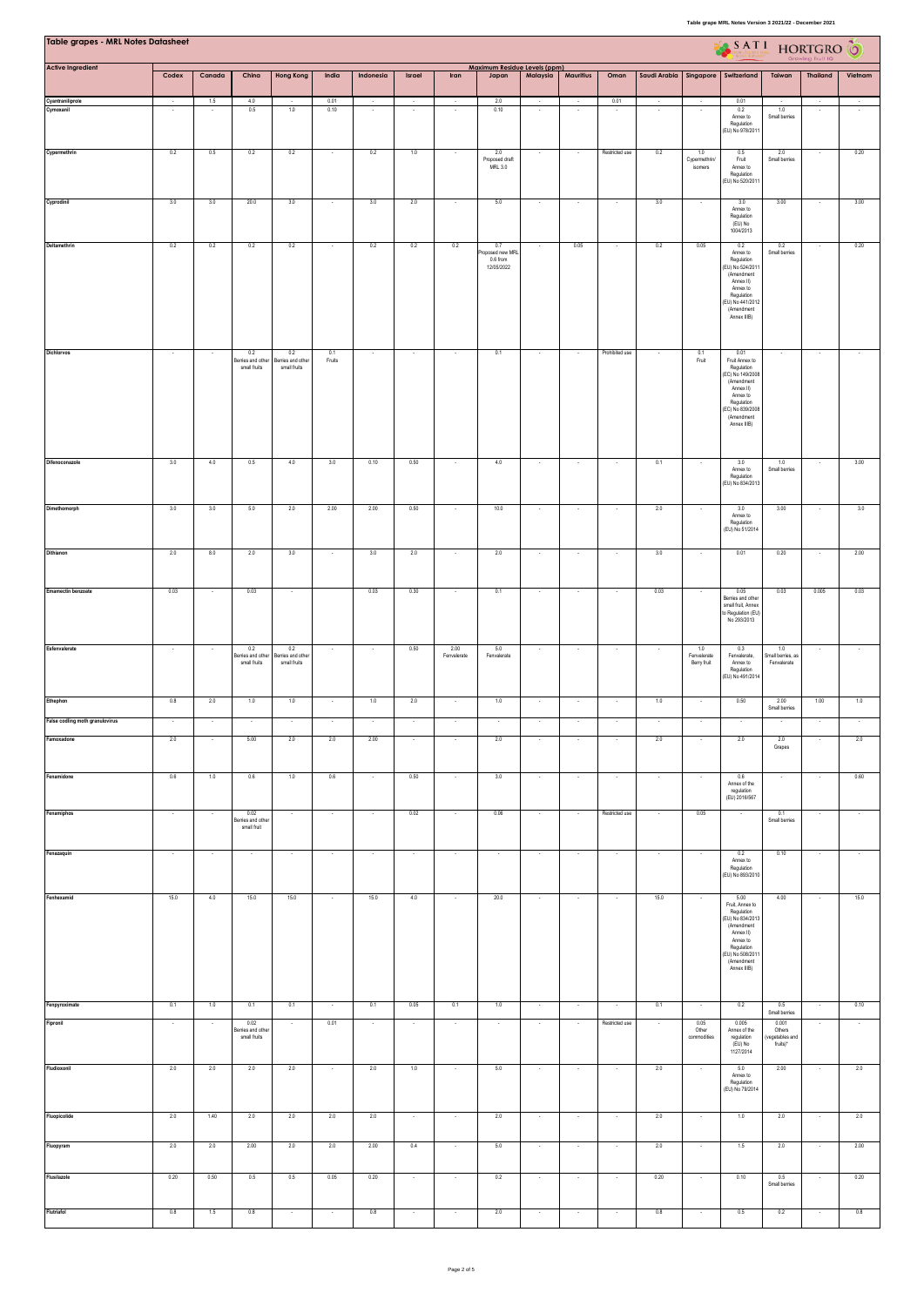| <b>Table grapes - MRL Notes Datasheet</b> |                          |                          |                                           |                                          |               |           |                          |                          |                                                   |                          |                                     |                          |                          |                                   | $\begin{picture}(180,10) \put(0,0){\line(1,0){10}} \put(10,0){\line(1,0){10}} \put(10,0){\line(1,0){10}} \put(10,0){\line(1,0){10}} \put(10,0){\line(1,0){10}} \put(10,0){\line(1,0){10}} \put(10,0){\line(1,0){10}} \put(10,0){\line(1,0){10}} \put(10,0){\line(1,0){10}} \put(10,0){\line(1,0){10}} \put(10,0){\line(1,0){10}} \put(10,0){\line($ |                                                |                          |         |
|-------------------------------------------|--------------------------|--------------------------|-------------------------------------------|------------------------------------------|---------------|-----------|--------------------------|--------------------------|---------------------------------------------------|--------------------------|-------------------------------------|--------------------------|--------------------------|-----------------------------------|-----------------------------------------------------------------------------------------------------------------------------------------------------------------------------------------------------------------------------------------------------------------------------------------------------------------------------------------------------|------------------------------------------------|--------------------------|---------|
| <b>Active Ingredient</b>                  | Codex                    | Canada                   | China                                     | <b>Hong Kong</b>                         | India         | Indonesia | Israel                   | Iran                     | Maximum Residue Levels (ppm)<br>Japan             | Malaysia                 | <b>Mauritius</b>                    | Oman                     | Saudi Arabia Singapore   |                                   | Switzerland                                                                                                                                                                                                                                                                                                                                         | Taiwan                                         | <b>Thailand</b>          | Vietnam |
| Cyantraniliprole<br>Cymoxanil             | $\sim$                   | 1.5<br>$\sim$            | 4.0<br>0.5                                | 1.0                                      | 0.01<br>0.10  | $\sim$    | $\sim$                   | $\sim$                   | 2.0<br>0.10                                       | $\sim$<br>$\sim$         | $\overline{\phantom{a}}$<br>$\cdot$ | 0.01<br>$\cdot$          | $\cdot$                  | $\sim$                            | 0.01<br>0.2                                                                                                                                                                                                                                                                                                                                         | 1.0                                            | $\cdot$                  | $\sim$  |
|                                           |                          |                          |                                           |                                          |               |           |                          |                          |                                                   |                          |                                     |                          |                          |                                   | Annex to<br>Regulation<br>(EU) No 978/2011                                                                                                                                                                                                                                                                                                          | Small berries                                  |                          |         |
| Cypermethrin                              | 0.2                      | 0.5                      | 0.2                                       | 0.2                                      |               | 0.2       | 1.0                      |                          | 2.0<br>Proposed draft<br>MRL 3.0                  | $\overline{\phantom{a}}$ | $\overline{\phantom{a}}$            | Restricted use           | 0.2                      | 1.0<br>Cypermethrin/<br>isomers   | 0.5<br>Fruit<br>Annex to<br>Regulation<br>(EU) No 520/2011                                                                                                                                                                                                                                                                                          | 2.0<br>Small berries                           | $\overline{\phantom{a}}$ | 0.20    |
| Cyprodinil                                | 3.0                      | 3.0                      | 20.0                                      | 3.0                                      | $\sim$        | 3.0       | 2.0                      | $\sim$                   | 5.0                                               | $\sim$                   | $\sim$                              | $\sim$                   | 3.0                      | $\sim$                            | 3.0<br>Annex to<br>Regulation<br>(EU) No<br>1004/2013                                                                                                                                                                                                                                                                                               | 3.00                                           | $\sim$                   | 3.00    |
| Deltamethrin                              | 0.2                      | 0.2                      | 0.2                                       | 0.2                                      |               | 0.2       | 0.2                      | 0.2                      | 0.7<br>oposed new MRL<br>$0.6$ from<br>12/05/2022 | $\cdot$                  | 0.05                                | $\cdot$                  | 0.2                      | 0.05                              | 0.2<br>Annex to<br>Regulation<br>EU) No 524/2011<br>(Amendment<br>Annex II)<br>Annex to<br>Regulation<br>(EU) No 441/2012<br>(Amendment<br>Annex IIIB)                                                                                                                                                                                              | 0.2<br>Small berries                           | $\cdot$                  | 0.20    |
| Dichlorvos                                | $\sim$                   |                          | 0.2<br>Berries and other<br>small fruits  | 0.2<br>Berries and other<br>small fruits | 0.1<br>Fruits | $\sim$    | $\sim$                   |                          | 0.1                                               | $\sim$                   | $\overline{\phantom{a}}$            | Prohibited use           |                          | $rac{0.1}{F \text{ruit}}$         | 0.01<br>Fruit Annex to<br>Regulation<br>(EC) No 149/2008<br>(Amendment<br>Annex II)<br>Annex to<br>Regulation<br>(EC) No 839/2008<br>(Amendment<br>Annex IIIB)                                                                                                                                                                                      |                                                | $\sim$                   |         |
| Difenoconazole                            | 3.0                      | 4.0                      | 0.5                                       | 4.0                                      | 3.0           | 0.10      | 0.50                     |                          | 4.0                                               | $\overline{\phantom{a}}$ | $\overline{\phantom{a}}$            | $\cdot$                  | 0.1                      |                                   | 3.0<br>Annex to<br>Regulation<br>(EU) No 834/2013                                                                                                                                                                                                                                                                                                   | 1.0<br>Small berries                           |                          | 3.00    |
| Dimethomorph                              | 3.0                      | 3.0                      | 5.0                                       | 2.0                                      | 2.00          | 2.00      | 0.50                     |                          | 10.0                                              | ×                        | $\overline{\phantom{a}}$            |                          | 2.0                      |                                   | 3.0<br>Annex to<br>Regulation<br>(EU) No 51/2014                                                                                                                                                                                                                                                                                                    | 3.00                                           |                          | 3.0     |
| Dithianon                                 | 2.0                      | 8.0                      | 2.0                                       | 3.0                                      |               | 3.0       | 2.0                      | $\overline{\phantom{a}}$ | 2.0                                               | $\overline{\phantom{a}}$ | $\cdot$                             | $\cdot$                  | 3.0                      | $\overline{\phantom{a}}$          | 0.01                                                                                                                                                                                                                                                                                                                                                | 0.20                                           |                          | 2.00    |
| <b>Emamectin benzoate</b>                 | 0.03                     |                          | 0.03                                      |                                          |               | 0.03      | 0.30                     |                          | 0.1                                               | $\overline{\phantom{a}}$ | $\overline{\phantom{a}}$            | ×                        | 0.03                     |                                   | 0.05<br>Berries and other<br>small fruit, Annex<br>to Regulation (EU)<br>No 293/2013                                                                                                                                                                                                                                                                | 0.03                                           | 0.005                    | 0.03    |
| Esfenvalerate                             | $\overline{\phantom{a}}$ |                          | 0.2<br>Berries and other<br>small fruits  | 0.2<br>Berries and other<br>small fruits |               | $\sim$    | 0.50                     | 2.00<br>Fenvalerate      | 5.0<br>Fenvalerate                                | $\overline{\phantom{a}}$ | $\overline{\phantom{a}}$            | $\sim$                   |                          | 1.0<br>Fenvalerate<br>Berry fruit | 0.3<br>Fenvalerate,<br>Annex to<br>Regulation<br>(EU) No 491/2014                                                                                                                                                                                                                                                                                   | 1.0<br>Small berries, as<br>Fenvalerate        | $\overline{\phantom{a}}$ |         |
| Ethephon                                  | 0.8                      | 2.0                      | $1.0\,$                                   | 1.0                                      |               | 1.0       | 2.0                      | $\sim$                   | 1.0                                               | $\sim$                   | $\sim$                              | $\sim$                   | 1.0                      | $\sim$                            | 0.50                                                                                                                                                                                                                                                                                                                                                | 2.00<br>Small berries                          | 1.00                     | 1.0     |
| False codling moth granulovirus           |                          |                          |                                           |                                          |               |           |                          |                          |                                                   |                          | ÷                                   |                          |                          |                                   | ÷.                                                                                                                                                                                                                                                                                                                                                  |                                                |                          |         |
| Famoxadone                                | 2.0                      | $\overline{\phantom{a}}$ | 5.00                                      | $2.0\,$                                  | $2.0\,$       | $2.00\,$  | $\overline{\phantom{a}}$ | $\cdot$                  | $2.0\,$                                           | $\overline{\phantom{a}}$ | $\overline{\phantom{a}}$            | $\sim$                   | $2.0\,$                  | $\sim$                            | 2.0                                                                                                                                                                                                                                                                                                                                                 | 2.0<br>Grapes                                  |                          | $2.0\,$ |
| Fenamidone                                | 0.6                      | 1.0                      | 0.6                                       | 1.0                                      | 0.6           |           | 0.50                     |                          | 3.0                                               | $\cdot$                  | $\overline{\phantom{a}}$            | $\overline{\phantom{a}}$ |                          |                                   | 0.6<br>Annex of the<br>regulation<br>(EU) 2016/567                                                                                                                                                                                                                                                                                                  |                                                |                          | 0.60    |
| Fenamiphos                                | $\cdot$                  | $\cdot$                  | 0.02<br>serries and other<br>small fruit  | $\cdot$                                  | $\cdot$       | $\cdot$   | 0.02                     | $\overline{\phantom{a}}$ | 0.06                                              | τ                        | $\overline{\phantom{a}}$            | Restricted use           | $\overline{\phantom{a}}$ | 0.05                              | $\overline{\phantom{a}}$                                                                                                                                                                                                                                                                                                                            | 0.1<br>Small berries                           | $\cdot$                  | $\cdot$ |
| Fenazaquin                                | $\sim$                   | $\epsilon$               | $\sim$                                    | $\cdot$                                  | $\sim$        | $\cdot$   | $\bullet$                | $\cdot$                  | $\cdot$                                           | $\sim$                   | $\cdot$                             | $\sim$                   | $\overline{\phantom{a}}$ | $\sim$                            | 0.2<br>Annex to<br>Regulation<br>(EU) No 893/2010                                                                                                                                                                                                                                                                                                   | 0.10                                           | $\sim$                   | $\sim$  |
| Fenhexamid                                | 15.0                     | 4.0                      | 15.0                                      | 15.0                                     | $\sim$        | 15.0      | 4.0                      | $\cdot$                  | 20.0                                              | $\sim$                   | $\sim$                              | $\sim$                   | 15.0                     | $\sim$                            | 5.00<br>Fruit, Annex to<br>Regulation<br>(EU) No 834/2013<br>(Amendment<br>Annex II)<br>Annex to<br>Regulation<br>(EU) No 508/2011<br>(Amendment<br>Annex IIIB)                                                                                                                                                                                     | 4.00                                           | $\sim$                   | 15.0    |
| Fenpyroximate                             | 0.1                      | 1.0                      | 0.1                                       | 0.1                                      |               | 0.1       | 0.05                     | 0.1                      | 1.0                                               | $\sim$                   | $\sim$                              | $\sim$                   | 0.1                      |                                   | 0.2                                                                                                                                                                                                                                                                                                                                                 | 0.5<br>Small berries                           |                          | 0.10    |
| Fipronil                                  | $\sim$                   |                          | 0.02<br>Berries and other<br>small fruits | $\sim$                                   | 0.01          | $\sim$    | $\overline{\phantom{a}}$ | $\overline{\phantom{a}}$ |                                                   | $\cdot$                  | $\overline{\phantom{a}}$            | Restricted use           | $\overline{\phantom{a}}$ | 0.05<br>Other<br>commodities      | 0.005<br>Annex of the<br>regulation<br>(EU) No<br>1127/2014                                                                                                                                                                                                                                                                                         | 0.001<br>Others<br>(vegetables and<br>fruits)* |                          | $\cdot$ |
| Fludioxonil                               | 2.0                      | 2.0                      | 2.0                                       | 2.0                                      | $\sim$        | 2.0       | 1.0                      | $\sim$                   | 5.0                                               | $\sim$                   | $\sim$                              | $\sim$                   | 2.0                      | $\sim$                            | 5.0<br>Annex to<br>Regulation<br>(EU) No 79/2014                                                                                                                                                                                                                                                                                                    | 2.00                                           | $\sim$                   | 2.0     |
| Fluopicolide                              | 2.0                      | 1.40                     | 2.0                                       | 2.0                                      | 2.0           | 2.0       | $\sim$                   | $\overline{\phantom{a}}$ | 2.0                                               | $\epsilon$               | $\cdot$                             | $\cdot$                  | 2.0                      | $\cdot$                           | 1.0                                                                                                                                                                                                                                                                                                                                                 | 2.0                                            | $\cdot$                  | 2.0     |
| Fluopyram                                 | 2.0                      | 2.0                      | 2.00                                      | $2.0\,$                                  | $2.0\,$       | 2.00      | 0.4                      |                          | 5.0                                               | ×                        |                                     |                          | $2.0\,$                  |                                   | 1.5                                                                                                                                                                                                                                                                                                                                                 | 2.0                                            |                          | 2.00    |
| Flusilazole                               | 0.20                     | 0.50                     | 0.5                                       | 0.5                                      | 0.05          | 0.20      | $\sim$                   | $\sim$                   | 0.2                                               | $\sim$                   | $\overline{\phantom{a}}$            | $\sim$                   | 0.20                     | $\sim$                            | 0.10                                                                                                                                                                                                                                                                                                                                                | 0.5<br>Small berries                           |                          | 0.20    |
| Flutriafol                                | 0.8                      | $1.5\,$                  | $0.8\,$                                   | $\sim$                                   | $\sim$        | 0.8       | $\sim$                   | $\lambda$                | 2.0                                               | $\sim$                   | $\overline{\phantom{a}}$            | $\sim$                   | 0.8                      | $\sim$                            | 0.5                                                                                                                                                                                                                                                                                                                                                 | 0.2                                            |                          | 0.8     |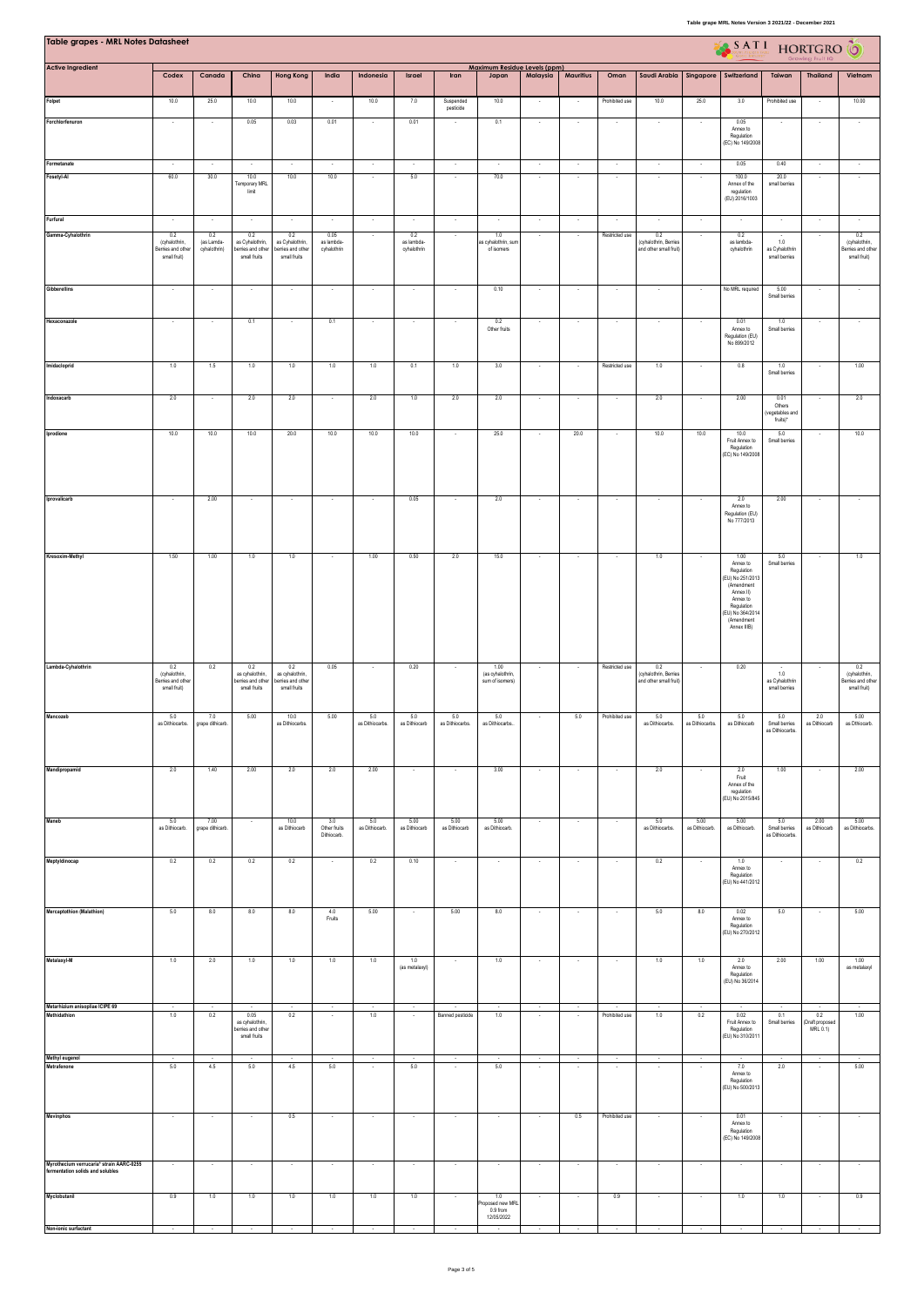| <b>Table grapes - MRL Notes Datasheet</b>                                                    |                                                           |                                   |                                                             |                                                             |                                    |                        |                                  |                          |                                             |                          |                               |                          |                                                        |                        | SATI HORTGRO                                                                                                                                           |                                               |                                    |                                                           |
|----------------------------------------------------------------------------------------------|-----------------------------------------------------------|-----------------------------------|-------------------------------------------------------------|-------------------------------------------------------------|------------------------------------|------------------------|----------------------------------|--------------------------|---------------------------------------------|--------------------------|-------------------------------|--------------------------|--------------------------------------------------------|------------------------|--------------------------------------------------------------------------------------------------------------------------------------------------------|-----------------------------------------------|------------------------------------|-----------------------------------------------------------|
| <b>Active Ingredient</b>                                                                     | Codex                                                     | Canada                            | China                                                       | <b>Hong Kong</b>                                            | India                              | Indonesia              | Israel                           | Iran                     | Maximum Residue Levels (ppm)<br>Japan       | Malaysia                 | <b>Mauritius</b>              | Oman                     | Saudi Arabia                                           | Singapore              | Switzerland                                                                                                                                            | Taiwan                                        | <b>Thailand</b>                    | Vietnam                                                   |
| Folpet                                                                                       | 10.0                                                      | 25.0                              | 10.0                                                        | 10.0                                                        |                                    | 10.0                   | 7.0                              | Suspended                | 10.0                                        | $\overline{\phantom{a}}$ |                               | Prohibited use           | 10.0                                                   | 25.0                   | 3.0                                                                                                                                                    | Prohibited use                                |                                    | 10.00                                                     |
| Forchlorfenuron                                                                              |                                                           |                                   | 0.05                                                        | 0.03                                                        | 0.01                               |                        | 0.01                             | pesticide                | 0.1                                         |                          |                               |                          |                                                        |                        | 0.05<br>Annex to<br>Regulation<br>(EC) No 149/2008                                                                                                     |                                               |                                    |                                                           |
| Formetanate                                                                                  |                                                           |                                   |                                                             |                                                             |                                    | $\cdot$                |                                  | $\cdot$                  | $\cdot$                                     | $\epsilon$               | $\cdot$                       | $\cdot$                  | $\cdot$                                                | $\cdot$                | 0.05                                                                                                                                                   | 0.40                                          |                                    |                                                           |
| Fosetyl-Al                                                                                   | 60.0                                                      | 30.0                              | 10.0<br>Temporary MRL<br>limit                              | 10.0                                                        | 10.0                               | $\sim$                 | 5.0                              | $\overline{\phantom{a}}$ | 70.0                                        | $\sim$                   | $\overline{\phantom{a}}$      | $\sim$                   |                                                        |                        | 100.0<br>Annex of the<br>regulation<br>(EU) 2016/1003                                                                                                  | 20.0<br>small berries                         |                                    |                                                           |
| Furfural<br>Gamma-Cyhalothrin                                                                | 0.2<br>(cyhalothrin,<br>lerries and other<br>small fruit) | 0.2<br>(as Lamda-<br>cyhalothrin) | 0.2<br>as Cyhalothrin,<br>berries and other<br>small fruits | 0.2<br>as Cyhalothrin,<br>berries and other<br>small fruits | 0.05<br>as lambda-<br>cyhalothrin  | $\sim$                 | 0.2<br>as lambda-<br>cyhalothrin | $\overline{\phantom{a}}$ | 1.0<br>as cyhalothrin, sun<br>of isomers    | $\cdot$<br>$\sim$        | $\cdot$<br>$\sim$             | Restricted use           | 0.2<br>(cyhalothrin, Berries<br>and other small fruit! | $\sim$                 | 0.2<br>as lambda-<br>cyhalothrin                                                                                                                       | 1.0<br>as Cyhalothrin<br>small berries        | $\sim$                             | 0.2<br>(cyhalothrin,<br>Berries and other<br>small fruit) |
| <b>Gibberellins</b>                                                                          |                                                           |                                   |                                                             |                                                             |                                    |                        |                                  |                          | 0.10                                        |                          |                               |                          |                                                        |                        | No MRL required                                                                                                                                        | 5.00<br>Small berries                         |                                    |                                                           |
| Hexaconazole                                                                                 |                                                           |                                   | 0.1                                                         |                                                             | 0.1                                |                        |                                  |                          | 0.2<br>Other fruits                         |                          |                               |                          |                                                        |                        | 0.01<br>Annex to<br>Regulation (EU)<br>No 899/2012                                                                                                     | 1.0<br>Small berries                          |                                    |                                                           |
| Imidacloprid                                                                                 | 1.0                                                       | 1.5                               | 1.0                                                         | 1.0                                                         | 1.0                                | 1.0                    | 0.1                              | 1.0                      | 3.0                                         | $\cdot$                  | $\cdot$                       | Restricted use           | 1.0                                                    | $\sim$                 | 0.8                                                                                                                                                    | 1.0<br>Small berries                          | $\cdot$                            | 1.00                                                      |
| Indoxacarb                                                                                   | 2.0                                                       | $\sim$                            | 2.0                                                         | 2.0                                                         | $\sim$                             | 2.0                    | 1.0                              | 2.0                      | 2.0                                         | $\sim$                   | $\sim$                        | $\sim$                   | 2.0                                                    | $\sim$                 | 2.00                                                                                                                                                   | 0.01<br>Others<br>(vegetables and<br>fruits)* | $\sim$                             | 2.0                                                       |
| Iprodione                                                                                    | 10.0                                                      | 10.0                              | 10.0                                                        | 20.0                                                        | 10.0                               | 10.0                   | 10.0                             |                          | 25.0                                        | $\overline{\phantom{a}}$ | 20.0                          |                          | 10.0                                                   | 10.0                   | 10.0<br>Fruit Annex to<br>Regulation<br>EC) No 149/2008                                                                                                | 5.0<br>Small berries                          |                                    | 10.0                                                      |
| Iprovalicarb                                                                                 | $\cdot$                                                   | 2.00                              | $\overline{\phantom{a}}$                                    | $\overline{\phantom{a}}$                                    | $\overline{\phantom{a}}$           | $\cdot$                | 0.05                             |                          | 2.0                                         | $\overline{\phantom{a}}$ |                               | $\overline{\phantom{a}}$ |                                                        |                        | 2.0<br>Annex to<br>Regulation (EU)<br>No 777/2013                                                                                                      | 2.00                                          |                                    |                                                           |
| Kresoxim-Methyl                                                                              | 1.50                                                      | 1.00                              | 1.0                                                         | 1.0                                                         |                                    | 1.00                   | 0.50                             | 2.0                      | 15.0                                        | $\sim$                   |                               | $\sim$                   | 1.0                                                    |                        | 1.00<br>Annex to<br>Regulation<br>EU) No 251/2013<br>(Amendment<br>Annex II)<br>Annex to<br>Regulation<br>EU) No 364/2014<br>(Amendment<br>Annex IIIB) | 5.0<br>Small berries                          | $\sim$                             | 1.0                                                       |
| Lambda-Cyhalothrin                                                                           | 0.2<br>(cyhalothrin,<br>lerries and other<br>small fruit) | 0.2                               | 0.2<br>as cyhalothrin,<br>perries and other<br>small fruits | 0.2<br>as cyhalothrin,<br>erries and other<br>small fruits  | 0.05                               | $\sim$                 | 0.20                             | $\cdot$                  | 1.00<br>(as cyhalothrin,<br>sum of isomers) | $\cdot$                  | $\overline{\phantom{a}}$      | Restricted use           | 0.2<br>(cyhalothrin, Berries<br>and other small fruit) | $\sim$                 | 0.20                                                                                                                                                   | $1.0\,$<br>as Cyhalothrin<br>small berries    | $\cdot$                            | 0.2<br>(cyhalothrin,<br>Berries and other<br>small fruit) |
| Mancozeb                                                                                     | 5.0<br>as Dithiocarbs.                                    | 7.0<br>grape dithicarb.           | 5.00                                                        | 10.0<br>as Dithiocarbs.                                     | 5.00                               | 5.0<br>as Dithiocarbs. | 5.0<br>as Dithiocarb             | 5.0<br>as Dithiocarbs.   | 5.0<br>as Dithiocarbs.                      | $\sim$                   | 5.0                           | Prohibited use           | 5.0<br>as Dithiocarbs.                                 | 5.0<br>as Dithiocarbs. | 5.0<br>as Difhiocarb                                                                                                                                   | 5.0<br>Small berries<br>as Dithiocarbs.       | 2.0<br>as Dithiocarb               | 5.00<br>as Dthiocarb.                                     |
| Mandipropamid                                                                                | 2.0                                                       | 1.40                              | 2.00                                                        | 2.0                                                         | 2.0                                | 2.00                   | $\sim$                           | $\overline{\phantom{a}}$ | 3.00                                        | $\sim$                   | $\cdot$                       | $\sim$                   | 2.0                                                    | $\sim$                 | 2.0<br>Fruit<br>Annex of the<br>regulation<br>EU) No 2015/845)                                                                                         | 1.00                                          | $\sim$                             | 2.00                                                      |
| Maneb                                                                                        | 5.0<br>as Dithiocarb.                                     | 7.00<br>grape dithicarb.          | $\sim$                                                      | 10.0<br>as Dithiocarb                                       | 3.0<br>Other fruits<br>Dithiocarb. | 5.0<br>as Dithiocarb.  | 5.00<br>as Dithiocarb            | 5.00<br>as Difhiocarb    | 5.00<br>as Dithiocarb.                      | $\cdot$                  | $\cdot$                       | $\cdot$                  | 5.0<br>as Dithiocarbs.                                 | 5.00<br>as Dithiocarb. | 5.00<br>as Difhiocarb.                                                                                                                                 | 5.0<br>Small berries<br>as Dithiocarbs.       | 2.00<br>as Dithiocarb              | 5.00<br>as Dithiocarbs.                                   |
| Meptyldinocap                                                                                | 0.2                                                       | 0.2                               | 0.2                                                         | 0.2                                                         |                                    | 0.2                    | 0.10                             |                          |                                             | ×                        | ÷,                            |                          | 0.2                                                    |                        | 1.0<br>Annex to<br>Regulation<br>(EU) No 441/2012                                                                                                      |                                               |                                    | 0.2                                                       |
| Mercaptothion (Malathion)                                                                    | 5.0                                                       | 8.0                               | 8.0                                                         | 8.0                                                         | 4.0<br>Fruits                      | 5.00                   | $\cdot$                          | 5.00                     | 8.0                                         | $\cdot$                  | $\cdot$                       | $\sim$                   | 5.0                                                    | 8.0                    | 0.02<br>Annex to<br>Regulation<br>(EU) No 270/2012                                                                                                     | 5.0                                           | $\overline{\phantom{a}}$           | 5.00                                                      |
| Metalaxyl-M<br>Metarhizium anisopliae ICIPE 69                                               | 1.0<br>$\sim$                                             | 2.0                               | $1.0$                                                       | 1.0                                                         | 1.0<br>$\overline{\phantom{a}}$    | 1.0                    | 1.0<br>(as metalaxyl)<br>$\sim$  |                          | 1.0<br>$\sim$                               | $\cdot$                  | ٠<br>$\overline{\phantom{a}}$ | $\overline{\phantom{a}}$ | 1.0                                                    | $1.0$                  | 2.0<br>Annex to<br>Regulation<br>(EU) No 36/2014                                                                                                       | 2.00                                          | 1.00                               | 1.00<br>as metalaxyl                                      |
| Methidathion                                                                                 | 1.0                                                       | 0.2                               | 0.05<br>as cyhalothrin,<br>erries and othe<br>small fruits  | 0.2                                                         |                                    | 1.0                    |                                  | Banned pesticide         | 1.0                                         | $\sim$<br>×              |                               | Prohibited use           | 1.0                                                    | 0.2                    | 0.02<br>Fruit Annex to<br>Regulation<br>(EU) No 310/2011                                                                                               | 0.1<br>Small berries                          | 0.2<br>(Draft proposed<br>MRL 0.1) | 1.00                                                      |
| Methyl eugenol<br>Metrafenone                                                                | $\sim$<br>$5.0\,$                                         | $\overline{\phantom{a}}$<br>4.5   | $\sim$<br>$5.0\,$                                           | $\sim$<br>4.5                                               | $\sim$<br>$5.0\,$                  | $\sim$                 | $\sim$<br>$5.0\,$                | $\sim$                   | $\sim$<br>5.0                               | $\sim$                   | $\sim$                        | $\sim$                   |                                                        |                        | 7.0<br>Annex to<br>Regulation<br>(EU) No 500/2013                                                                                                      | 2.0                                           |                                    | $\sim$<br>5.00                                            |
| Mevinphos                                                                                    | $\sim$                                                    | $\sim$                            | $\sim$                                                      | 0.5                                                         | $\sim$                             | $\sim$                 | $\sim$                           | $\sim$                   | $\overline{\phantom{a}}$                    | $\sim$                   | 0.5                           | Prohibited use           | $\sim$                                                 |                        | 0.01<br>Annex to<br>Regulation<br>(EC) No 149/2008                                                                                                     | $\sim$                                        | $\sim$                             |                                                           |
| Myrothecium verrucaria* strain AARC-0255<br>fermentation solids and solubles<br>Myclobutanil | 0.9                                                       | 1.0                               | $\overline{\phantom{a}}$<br>1.0                             | 1.0                                                         | 1.0                                | 1.0                    | 1.0                              |                          | 1.0                                         | $\cdot$                  |                               | 0.9                      |                                                        | $\sim$                 | 1.0                                                                                                                                                    | 1.0                                           |                                    | 0.9                                                       |
| Non-ionic surfactant                                                                         |                                                           |                                   |                                                             |                                                             |                                    |                        |                                  |                          | roposed new MRL<br>0.9 from<br>12/05/2022   |                          |                               |                          |                                                        |                        |                                                                                                                                                        |                                               |                                    |                                                           |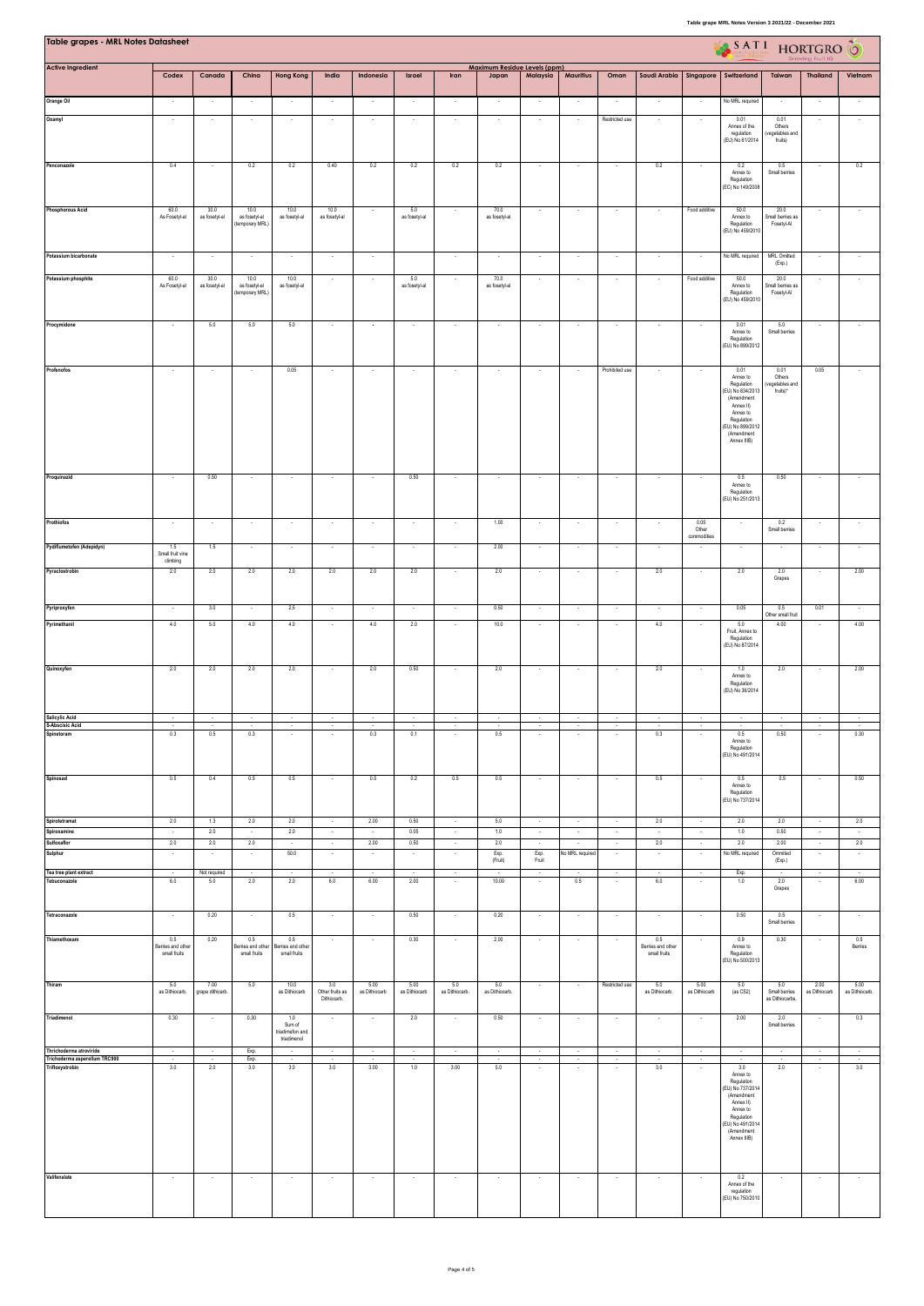| Table grapes - MRL Notes Datasheet                                          |                                         |                         |                                          |                                                 |                                       |                          |                                              |                          |                                       |                          |                           |                   |                                          |                              | SATI HORTGRO                                                                                                                                            |                                               |                       |                        |
|-----------------------------------------------------------------------------|-----------------------------------------|-------------------------|------------------------------------------|-------------------------------------------------|---------------------------------------|--------------------------|----------------------------------------------|--------------------------|---------------------------------------|--------------------------|---------------------------|-------------------|------------------------------------------|------------------------------|---------------------------------------------------------------------------------------------------------------------------------------------------------|-----------------------------------------------|-----------------------|------------------------|
| <b>Active Ingredient</b>                                                    | Codex                                   | Canada                  | China                                    | <b>Hong Kong</b>                                | India                                 | Indonesia                | Israel                                       | Iran                     | Maximum Residue Levels (ppm)<br>Japan | Malaysia                 | <b>Mauritius</b>          | Oman              | Saudi Arabia Singapore                   |                              | Switzerland                                                                                                                                             | Taiwan                                        | <b>Thailand</b>       | Vietnam                |
| Orange Oil                                                                  |                                         |                         |                                          |                                                 |                                       |                          |                                              |                          |                                       |                          |                           |                   |                                          |                              | No MRL required                                                                                                                                         |                                               |                       |                        |
| Oxamyl                                                                      | $\sim$                                  |                         | $\overline{\phantom{a}}$                 |                                                 |                                       | $\overline{\phantom{a}}$ |                                              |                          |                                       | $\sim$                   |                           | Restricted use    |                                          |                              | 0.01<br>Annex of the<br>regulation<br>(EU) No 61/2014                                                                                                   | 0.01<br>Others<br>(vegetables and<br>fruits)  |                       |                        |
| Penconazole                                                                 | 0.4                                     |                         | 0.2                                      | 0.2                                             | 0.40                                  | 0.2                      | 0.2                                          | 0.2                      | 0.2                                   |                          |                           |                   | 0.2                                      |                              | 0.2<br>Annex to<br>Regulation<br>(EC) No 149/2008                                                                                                       | 0.5<br>Small berries                          |                       | 0.2                    |
| <b>Phosphorous Acid</b>                                                     | 60.0<br>As Fosetyl-al                   | 30.0<br>as fosetyl-al   | 10.0<br>as fosetyl-al<br>(temporary MRL) | 10.0<br>as fosetyl-al                           | 10.0<br>as fosetyl-al                 | $\sim$                   | 5.0<br>as fosetyl-al                         |                          | 70.0<br>as fosetyl-al                 | $\cdot$                  | $\cdot$                   | $\sim$            | $\sim$                                   | Food additive                | 50.0<br>Annex to<br>Regulation<br>(EU) No 459/2010                                                                                                      | 20.0<br>Small berries as<br>Fosetyl-Al        |                       |                        |
| Potassium bicarbonate                                                       | $\sim$                                  |                         | $\cdot$                                  | $\overline{\phantom{a}}$                        |                                       | $\cdot$                  |                                              |                          |                                       | $\cdot$                  | ٠                         | $\cdot$           |                                          |                              | No MRL required                                                                                                                                         | <b>MRL</b> Omitted<br>(Exp.)                  |                       |                        |
| Potassium phosphite                                                         | 60.0<br>As Fosetyl-al                   | 30.0<br>as fosetyl-al   | 10.0<br>as fosetyl-al<br>(temporary MRL) | 10.0<br>as fosetyl-al                           |                                       | $\cdot$                  | 5.0<br>as fosetyl-al                         |                          | 70.0<br>as fosetyl-al                 | $\overline{\phantom{a}}$ | $\overline{\phantom{a}}$  |                   |                                          | Food additive                | 50.0<br>Annex to<br>Regulation<br>(EU) No 459/2010                                                                                                      | 20.0<br>Small berries as<br>Fosetyl-Al        |                       |                        |
| Procymidone                                                                 | $\sim$                                  | 5.0                     | 5.0                                      | 5.0                                             |                                       | $\cdot$                  |                                              |                          |                                       | $\cdot$                  |                           |                   |                                          |                              | 0.01<br>Annex to<br>Regulation<br>(EU) No 899/2012                                                                                                      | 5.0<br>Small berries                          |                       |                        |
| Profenofos                                                                  | $\sim$                                  |                         | $\overline{\phantom{a}}$                 | 0.05                                            |                                       | $\cdot$                  |                                              |                          |                                       | $\cdot$                  |                           | Prohibited use    |                                          |                              | 0.01<br>Annex to<br>Regulation<br>(EU) No 834/2013<br>(Amendment<br>Annex II)<br>Annex to<br>Regulation<br>EU) No 899/2012<br>(Amendment<br>Annex IIIB) | 0.01<br>Others<br>(vegetables and<br>fruits)* | 0.05                  |                        |
| Proquinazid                                                                 | $\sim$                                  | 0.50                    | $\sim$                                   | $\sim$                                          |                                       | $\sim$                   | 0.50                                         | $\overline{\phantom{a}}$ | $\sim$                                | $\cdot$                  |                           | $\sim$            |                                          |                              | 0.5<br>Annex to<br>Regulation<br>(EU) No 251/2013                                                                                                       | 0.50                                          |                       |                        |
| Prothiofos                                                                  |                                         |                         | $\cdot$                                  |                                                 |                                       |                          | $\cdot$                                      | $\cdot$                  | 1.00                                  | $\overline{\phantom{a}}$ | $\cdot$                   | $\cdot$           |                                          | 0.05<br>Other<br>commodities |                                                                                                                                                         | 0.2<br>Small berries                          |                       |                        |
| Pydiflumetofen (Adepidyn)                                                   | 1.5<br>Small fruit vine                 | 1.5                     | $\sim$                                   | $\sim$                                          | $\sim$                                | $\sim$                   | $\cdot$                                      | $\cdot$                  | 2.00                                  | $\sim$                   | $\cdot$                   | $\sim$            | $\overline{\phantom{a}}$                 | $\sim$                       | $\sim$                                                                                                                                                  |                                               | $\sim$                |                        |
| Pyraclostrobin                                                              | dimbing<br>2.0                          | 2.0                     | $2.0\,$                                  | 2.0                                             | 2.0                                   | 2.0                      | 2.0                                          | $\cdot$                  | 2.0                                   | $\overline{\phantom{a}}$ | $\cdot$                   | $\cdot$           | 2.0                                      | $\cdot$                      | 2.0                                                                                                                                                     | 2.0<br>Grapes                                 |                       | 2.00                   |
| Pyriproxyfen                                                                | $\sim$                                  | 3.0                     | $\sim$                                   | 2.5                                             | $\sim$                                | $\sim$                   | $\sim$                                       | $\cdot$                  | 0.50                                  | $\sim$                   | $\overline{\phantom{a}}$  | $\sim$            | $\cdot$                                  | $\sim$                       | 0.05                                                                                                                                                    | 0.5<br>Other small fruit                      | 0.01                  | $\sim$                 |
| Pyrimethanil                                                                | 4.0                                     | 5.0                     | 4.0                                      | 4.0                                             |                                       | 4.0                      | 2.0                                          | $\overline{\phantom{a}}$ | 10.0                                  | $\cdot$                  | $\cdot$                   | $\sim$            | 4.0                                      |                              | 5.0<br>Fruit, Annex to<br>Regulation<br>(EU) No 87/2014                                                                                                 | 4.00                                          |                       | 4.00                   |
| Quinoxyfen                                                                  | 2.0                                     | 2.0                     | $2.0\,$                                  | 2.0                                             |                                       | $2.0\,$                  | 0.50                                         | $\sim$                   | 2.0                                   | $\epsilon$               | $\cdot$                   | $\cdot$           | 2.0                                      |                              | 1.0<br>Annex to<br>Regulation<br>(EU) No 36/2014                                                                                                        | 2.0                                           | $\sim$                | 2.00                   |
| Salicylic Acid<br>S-Abscisic Acid                                           |                                         |                         |                                          |                                                 |                                       |                          |                                              |                          |                                       |                          |                           |                   |                                          |                              |                                                                                                                                                         |                                               |                       |                        |
| Spinetoram                                                                  | 0.3                                     | 0.5                     | 0.3                                      |                                                 |                                       | 0.3                      | 0.1                                          |                          | 0.5                                   |                          |                           |                   | 0.3                                      |                              | 0.5<br>Annex to<br>Regulation<br>(EU) No 491/2014                                                                                                       | 0.50                                          |                       | 0.30                   |
| Spinosad                                                                    | $0.5\,$                                 | 0.4                     | 0.5                                      | 0.5                                             |                                       | $0.5\,$                  | 0.2                                          | 0.5                      | 0.5                                   | $\cdot$                  | $\overline{\phantom{a}}$  | $\cdot$           | 0.5                                      |                              | 0.5<br>Annex to<br>Regulation<br>(EU) No 737/2014                                                                                                       | $0.5\,$                                       |                       | 0.50                   |
| Spirotetramat<br>Spiroxamine                                                | 2.0<br>$\sim$                           | 1.3<br>2.0              | 2.0<br>$\sim$                            | 2.0<br>2.0                                      | $\sim$<br>$\sim$                      | 2.00<br>$\sim$           | 0.50<br>0.05                                 | $\sim$<br>$\sim$         | 5.0<br>1.0                            | $\sim$<br>$\sim$         | $\sim$<br>$\sim$          | $\sim$<br>$\sim$  | 2.0<br>$\sim$                            | $\sim$<br>$\sim$             | 2.0<br>1.0                                                                                                                                              | 2.0<br>0.50                                   | $\sim$<br>$\sim$      | 2.0<br>$\sim$          |
| Sulfoxaflor<br>Sulphur                                                      | 2.0                                     | 2.0                     | 2.0                                      | $\sim$<br>50.0                                  | $\sim$                                | 2.00                     | 0.50                                         | - 1<br>$\cdot$           | 2.0<br>Exp.<br>(Fruit)                | $\sim$<br>Exp.<br>Fruit  | $\sim$<br>No MRL required | ч.                | 2.0                                      | $\sim$<br>$\cdot$            | 2.0<br>No MRL required                                                                                                                                  | 2.00<br>Ommited<br>(Exp.)                     | $\sim$                | 2.0                    |
| Tea tree plant extract<br>Tebuconazole                                      | $\sim$<br>$6.0\,$                       | Not required<br>5.0     | $\sim$<br>$2.0\,$                        | $\sim$<br>2.0                                   | $\sim$<br>$6.0\,$                     | $\sim$<br>6.00           | $\sim$<br>2.00                               | $\sim$                   | $\sim$<br>10.00                       | $\sim$                   | $\sim$<br>$0.5\,$         | $\sim$            | $\sim$<br>6.0                            | $\sim$                       | Exp.<br>$1.0\,$                                                                                                                                         | $\sim$<br>$2.0\,$<br>Grapes                   | $\sim$                | $\sim$<br>6.00         |
| Tetraconazole                                                               | $\sim$                                  | 0.20                    | $\sim$                                   | 0.5                                             | $\sim$                                | $\sim$                   | 0.50                                         | $\cdot$                  | 0.20                                  | $\sim$                   | $\sim$                    | $\sim$            | $\sim$                                   | $\sim$                       | 0.50                                                                                                                                                    | 0.5<br>Small berries                          | $\sim$                | $\cdot$                |
| Thiamethoxam                                                                | 0.5<br>erries and other<br>small fruits | 0.20                    | 0.5<br>Bernes and other<br>small fruits  | 0.5<br>Berries and other<br>small fruits        |                                       | $\cdot$                  | 0.30                                         | $\cdot$                  | 2.00                                  | $\star$                  | $\cdot$                   |                   | 0.5<br>Berries and other<br>small fruits |                              | 0.9<br>Annex to<br>Regulation<br>(EU) No 500/2013                                                                                                       | 0.30                                          |                       | $0.5\,$<br>Berries     |
| Thiram                                                                      | 5.0<br>as Dithiocarb.                   | 7.00<br>grape dithicarb | 5.0                                      | 10.0<br>as Dithiocarb                           | 3.0<br>Other fruits as<br>Difhiocarb. | 5.00<br>as Dithiocarb    | 5.00<br>as Dithiocarb                        | 5.0<br>as Dithiocarb.    | 5.0<br>as Dithiocarb.                 | $\sim$                   | $\cdot$                   | Restricted use    | 5.0<br>as Dithiocarb.                    | 5.00<br>as Dithiocarb        | 5.0<br>(as CS2)                                                                                                                                         | 5.0<br>Small berries<br>as Dithiocarbs.       | 2.00<br>as Dithiocarb | 5.00<br>as Dithiocarb. |
| Triadimenol                                                                 | 0.30                                    | $\sim$                  | 0.30                                     | 1.0<br>Sum of<br>triadimefon and<br>triadimenol | $\sim$                                | $\sim$                   | 2.0                                          | $\sim$                   | 0.50                                  | $\sim$                   | $\sim$                    | $\sim$            | $\sim$                                   | $\sim$                       | 2.00                                                                                                                                                    | 2.0<br>Small berries                          | $\sim$                | 0.3                    |
| Thrichoderma atroviride<br>Trichoderma asperellum TRC900<br>Trifloxystrobin | $\cdot$<br>$\sim$<br>3.0                | $\cdot$<br>2.0          | Exp.<br>Exp.<br>3.0                      | $\sim$<br>3.0                                   | $\sim$<br>3.0                         | $\cdot$<br>3.00          | $\overline{\phantom{a}}$<br>$\bullet$<br>1.0 | 3.00                     | $\sim$<br>$\sim$<br>5.0               | $\sim$<br>$\sim$         | $\cdot$<br>$\cdot$        | $\cdot$<br>$\sim$ | $\sim$<br>3.0                            | $\cdot$<br>$\cdot$           | $\sim$<br>$\sim$<br>3.0                                                                                                                                 | ٠<br>2.0                                      | $\sim$                | $\sim$<br>3.0          |
|                                                                             |                                         |                         |                                          |                                                 |                                       |                          |                                              |                          |                                       |                          |                           |                   |                                          |                              | Annex to<br>Regulation<br>(EU) No 737/2014<br>(Amendment<br>Annex II)<br>Annex to<br>Regulation<br>EU) No 491/2014<br>(Amendment<br>Annex IIIB)         |                                               |                       |                        |
| Valifenalate                                                                | $\sim$                                  | $\sim$                  | $\sim$                                   | $\overline{\phantom{a}}$                        | $\sim$                                | $\sim$                   | $\cdot$                                      | $\cdot$                  | $\sim$                                | $\cdot$                  | $\cdot$                   | $\sim$            | $\cdot$                                  | $\sim$                       | 0.2<br>Annex of the<br>regulation<br>(EU) No 750/2010                                                                                                   |                                               | $\sim$                | $\sim$                 |